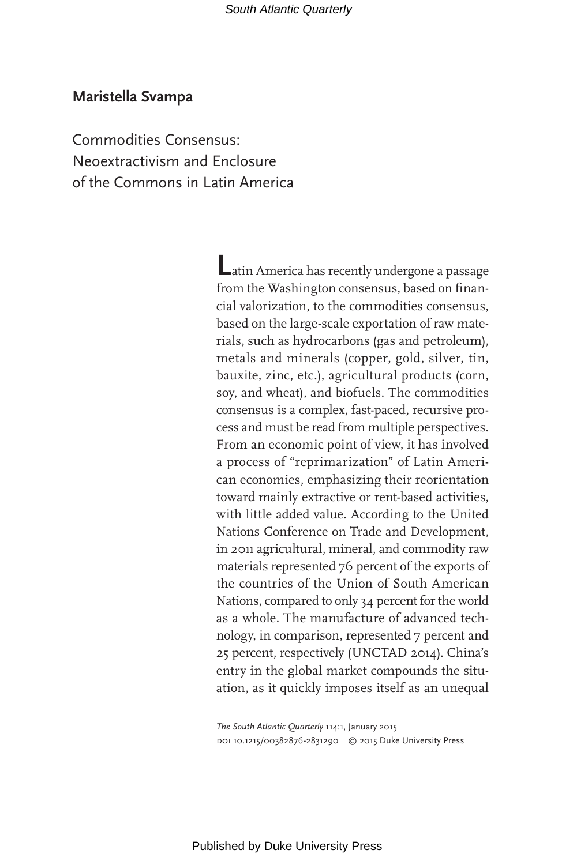# **Maristella Svampa**

Commodities Consensus: Neoextractivism and Enclosure of the Commons in Latin America

> **L**atin America has recently undergone a passage from the Washington consensus, based on financial valorization, to the commodities consensus, based on the large-scale exportation of raw materials, such as hydrocarbons (gas and petroleum), metals and minerals (copper, gold, silver, tin, bauxite, zinc, etc.), agricultural products (corn, soy, and wheat), and biofuels. The commodities consensus is a complex, fast-paced, recursive process and must be read from multiple perspectives. From an economic point of view, it has involved a process of "reprimarization" of Latin American economies, emphasizing their reorientation toward mainly extractive or rent-based activities, with little added value. According to the United Nations Conference on Trade and Development, in 2011 agricultural, mineral, and commodity raw materials represented 76 percent of the exports of the countries of the Union of South American Nations, compared to only 34 percent for the world as a whole. The manufacture of advanced technology, in comparison, represented 7 percent and 25 percent, respectively (UNCTAD 2014). China's entry in the global market compounds the situation, as it quickly imposes itself as an unequal

*The South Atlantic Quarterly* 114:1, January 2015 doi 10.1215/00382876-2831290 © 2015 Duke University Press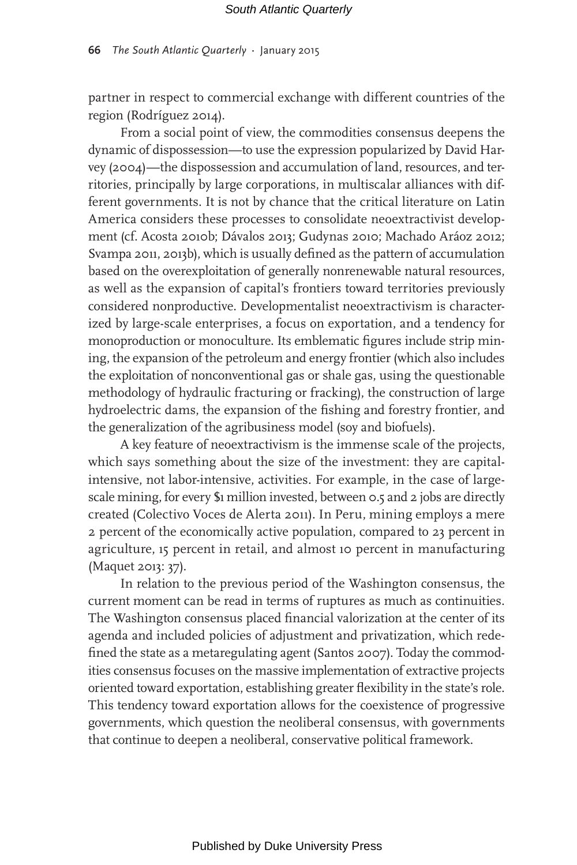partner in respect to commercial exchange with different countries of the region (Rodríguez 2014).

From a social point of view, the commodities consensus deepens the dynamic of dispossession—to use the expression popularized by David Harvey (2004)—the dispossession and accumulation of land, resources, and territories, principally by large corporations, in multiscalar alliances with different governments. It is not by chance that the critical literature on Latin America considers these processes to consolidate neoextractivist development (cf. Acosta 2010b; Dávalos 2013; Gudynas 2010; Machado Aráoz 2012; Svampa 2011, 2013b), which is usually defined as the pattern of accumulation based on the overexploitation of generally nonrenewable natural resources, as well as the expansion of capital's frontiers toward territories previously considered nonproductive. Developmentalist neoextractivism is characterized by large-scale enterprises, a focus on exportation, and a tendency for monoproduction or monoculture. Its emblematic figures include strip mining, the expansion of the petroleum and energy frontier (which also includes the exploitation of nonconventional gas or shale gas, using the questionable methodology of hydraulic fracturing or fracking), the construction of large hydroelectric dams, the expansion of the fishing and forestry frontier, and the generalization of the agribusiness model (soy and biofuels).

A key feature of neoextractivism is the immense scale of the projects, which says something about the size of the investment: they are capitalintensive, not labor-intensive, activities. For example, in the case of largescale mining, for every \$1 million invested, between 0.5 and 2 jobs are directly created (Colectivo Voces de Alerta 2011). In Peru, mining employs a mere 2 percent of the economically active population, compared to 23 percent in agriculture, 15 percent in retail, and almost 10 percent in manufacturing (Maquet 2013: 37).

In relation to the previous period of the Washington consensus, the current moment can be read in terms of ruptures as much as continuities. The Washington consensus placed financial valorization at the center of its agenda and included policies of adjustment and privatization, which redefined the state as a metaregulating agent (Santos 2007). Today the commodities consensus focuses on the massive implementation of extractive projects oriented toward exportation, establishing greater flexibility in the state's role. This tendency toward exportation allows for the coexistence of progressive governments, which question the neoliberal consensus, with governments that continue to deepen a neoliberal, conservative political framework.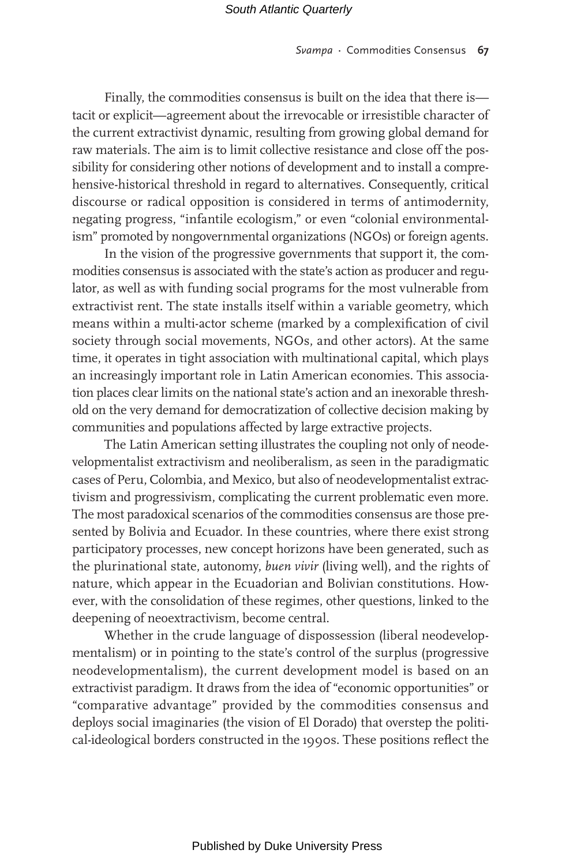Finally, the commodities consensus is built on the idea that there is tacit or explicit—agreement about the irrevocable or irresistible character of the current extractivist dynamic, resulting from growing global demand for raw materials. The aim is to limit collective resistance and close off the possibility for considering other notions of development and to install a comprehensive-historical threshold in regard to alternatives. Consequently, critical discourse or radical opposition is considered in terms of antimodernity, negating progress, "infantile ecologism," or even "colonial environmentalism" promoted by nongovernmental organizations (NGOs) or foreign agents.

In the vision of the progressive governments that support it, the commodities consensus is associated with the state's action as producer and regulator, as well as with funding social programs for the most vulnerable from extractivist rent. The state installs itself within a variable geometry, which means within a multi-actor scheme (marked by a complexification of civil society through social movements, NGOs, and other actors). At the same time, it operates in tight association with multinational capital, which plays an increasingly important role in Latin American economies. This association places clear limits on the national state's action and an inexorable threshold on the very demand for democratization of collective decision making by communities and populations affected by large extractive projects.

The Latin American setting illustrates the coupling not only of neodevelopmentalist extractivism and neoliberalism, as seen in the paradigmatic cases of Peru, Colombia, and Mexico, but also of neodevelopmentalist extractivism and progressivism, complicating the current problematic even more. The most paradoxical scenarios of the commodities consensus are those presented by Bolivia and Ecuador. In these countries, where there exist strong participatory processes, new concept horizons have been generated, such as the plurinational state, autonomy, *buen vivir* (living well), and the rights of nature, which appear in the Ecuadorian and Bolivian constitutions. However, with the consolidation of these regimes, other questions, linked to the deepening of neoextractivism, become central.

Whether in the crude language of dispossession (liberal neodevelopmentalism) or in pointing to the state's control of the surplus (progressive neodevelopmentalism), the current development model is based on an extractivist paradigm. It draws from the idea of "economic opportunities" or "comparative advantage" provided by the commodities consensus and deploys social imaginaries (the vision of El Dorado) that overstep the political-ideological borders constructed in the 1990s. These positions reflect the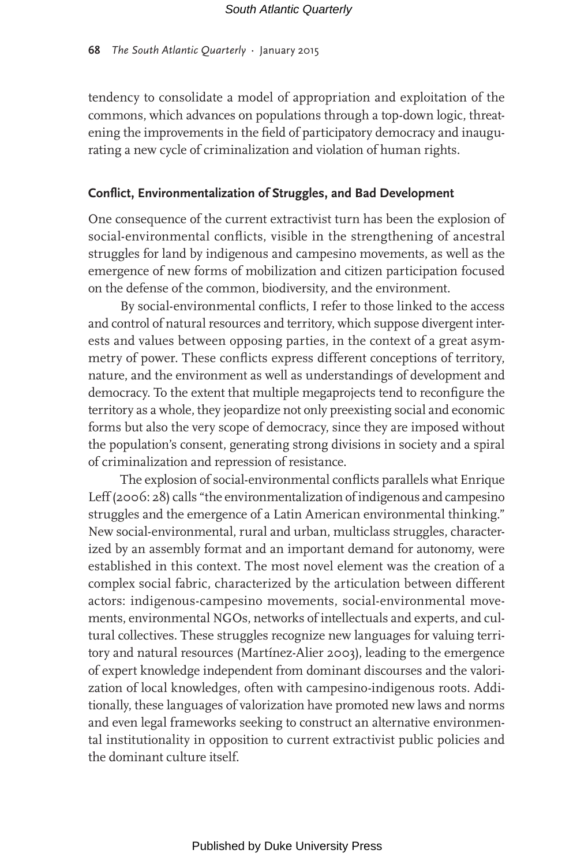tendency to consolidate a model of appropriation and exploitation of the commons, which advances on populations through a top-down logic, threatening the improvements in the field of participatory democracy and inaugurating a new cycle of criminalization and violation of human rights.

# **Conflict, Environmentalization of Struggles, and Bad Development**

One consequence of the current extractivist turn has been the explosion of social-environmental conflicts, visible in the strengthening of ancestral struggles for land by indigenous and campesino movements, as well as the emergence of new forms of mobilization and citizen participation focused on the defense of the common, biodiversity, and the environment.

By social-environmental conflicts, I refer to those linked to the access and control of natural resources and territory, which suppose divergent interests and values between opposing parties, in the context of a great asymmetry of power. These conflicts express different conceptions of territory, nature, and the environment as well as understandings of development and democracy. To the extent that multiple megaprojects tend to reconfigure the territory as a whole, they jeopardize not only preexisting social and economic forms but also the very scope of democracy, since they are imposed without the population's consent, generating strong divisions in society and a spiral of criminalization and repression of resistance.

The explosion of social-environmental conflicts parallels what Enrique Leff (2006: 28) calls "the environmentalization of indigenous and campesino struggles and the emergence of a Latin American environmental thinking." New social-environmental, rural and urban, multiclass struggles, characterized by an assembly format and an important demand for autonomy, were established in this context. The most novel element was the creation of a complex social fabric, characterized by the articulation between different actors: indigenous-campesino movements, social-environmental movements, environmental NGOs, networks of intellectuals and experts, and cultural collectives. These struggles recognize new languages for valuing territory and natural resources (Martínez-Alier 2003), leading to the emergence of expert knowledge independent from dominant discourses and the valorization of local knowledges, often with campesino-indigenous roots. Additionally, these languages of valorization have promoted new laws and norms and even legal frameworks seeking to construct an alternative environmental institutionality in opposition to current extractivist public policies and the dominant culture itself.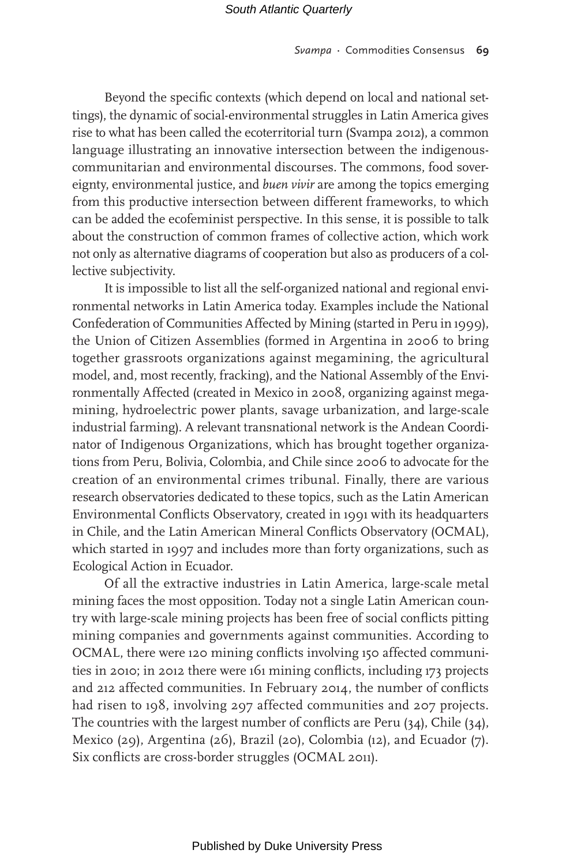Beyond the specific contexts (which depend on local and national settings), the dynamic of social-environmental struggles in Latin America gives rise to what has been called the ecoterritorial turn (Svampa 2012), a common language illustrating an innovative intersection between the indigenouscommunitarian and environmental discourses. The commons, food sovereignty, environmental justice, and *buen vivir* are among the topics emerging from this productive intersection between different frameworks, to which can be added the ecofeminist perspective. In this sense, it is possible to talk about the construction of common frames of collective action, which work not only as alternative diagrams of cooperation but also as producers of a collective subjectivity.

It is impossible to list all the self-organized national and regional environmental networks in Latin America today. Examples include the National Confederation of Communities Affected by Mining (started in Peru in 1999), the Union of Citizen Assemblies (formed in Argentina in 2006 to bring together grassroots organizations against megamining, the agricultural model, and, most recently, fracking), and the National Assembly of the Environmentally Affected (created in Mexico in 2008, organizing against megamining, hydroelectric power plants, savage urbanization, and large-scale industrial farming). A relevant transnational network is the Andean Coordinator of Indigenous Organizations, which has brought together organizations from Peru, Bolivia, Colombia, and Chile since 2006 to advocate for the creation of an environmental crimes tribunal. Finally, there are various research observatories dedicated to these topics, such as the Latin American Environmental Conflicts Observatory, created in 1991 with its headquarters in Chile, and the Latin American Mineral Conflicts Observatory (OCMAL), which started in 1997 and includes more than forty organizations, such as Ecological Action in Ecuador.

Of all the extractive industries in Latin America, large-scale metal mining faces the most opposition. Today not a single Latin American country with large-scale mining projects has been free of social conflicts pitting mining companies and governments against communities. According to OCMAL, there were 120 mining conflicts involving 150 affected communities in 2010; in 2012 there were 161 mining conflicts, including 173 projects and 212 affected communities. In February 2014, the number of conflicts had risen to 198, involving 297 affected communities and 207 projects. The countries with the largest number of conflicts are Peru (34), Chile (34), Mexico (29), Argentina (26), Brazil (20), Colombia (12), and Ecuador (7). Six conflicts are cross-border struggles (OCMAL 2011).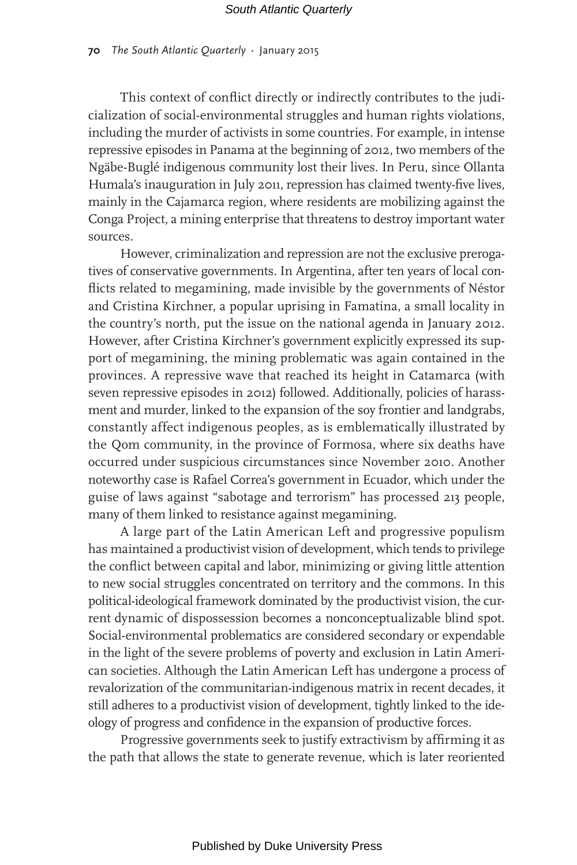This context of conflict directly or indirectly contributes to the judicialization of social-environmental struggles and human rights violations, including the murder of activists in some countries. For example, in intense repressive episodes in Panama at the beginning of 2012, two members of the Ngäbe-Buglé indigenous community lost their lives. In Peru, since Ollanta Humala's inauguration in July 2011, repression has claimed twenty-five lives, mainly in the Cajamarca region, where residents are mobilizing against the Conga Project, a mining enterprise that threatens to destroy important water sources.

However, criminalization and repression are not the exclusive prerogatives of conservative governments. In Argentina, after ten years of local conflicts related to megamining, made invisible by the governments of Néstor and Cristina Kirchner, a popular uprising in Famatina, a small locality in the country's north, put the issue on the national agenda in January 2012. However, after Cristina Kirchner's government explicitly expressed its support of megamining, the mining problematic was again contained in the provinces. A repressive wave that reached its height in Catamarca (with seven repressive episodes in 2012) followed. Additionally, policies of harassment and murder, linked to the expansion of the soy frontier and landgrabs, constantly affect indigenous peoples, as is emblematically illustrated by the Qom community, in the province of Formosa, where six deaths have occurred under suspicious circumstances since November 2010. Another noteworthy case is Rafael Correa's government in Ecuador, which under the guise of laws against "sabotage and terrorism" has processed 213 people, many of them linked to resistance against megamining.

A large part of the Latin American Left and progressive populism has maintained a productivist vision of development, which tends to privilege the conflict between capital and labor, minimizing or giving little attention to new social struggles concentrated on territory and the commons. In this political-ideological framework dominated by the productivist vision, the current dynamic of dispossession becomes a nonconceptualizable blind spot. Social-environmental problematics are considered secondary or expendable in the light of the severe problems of poverty and exclusion in Latin American societies. Although the Latin American Left has undergone a process of revalorization of the communitarian-indigenous matrix in recent decades, it still adheres to a productivist vision of development, tightly linked to the ideology of progress and confidence in the expansion of productive forces.

Progressive governments seek to justify extractivism by affirming it as the path that allows the state to generate revenue, which is later reoriented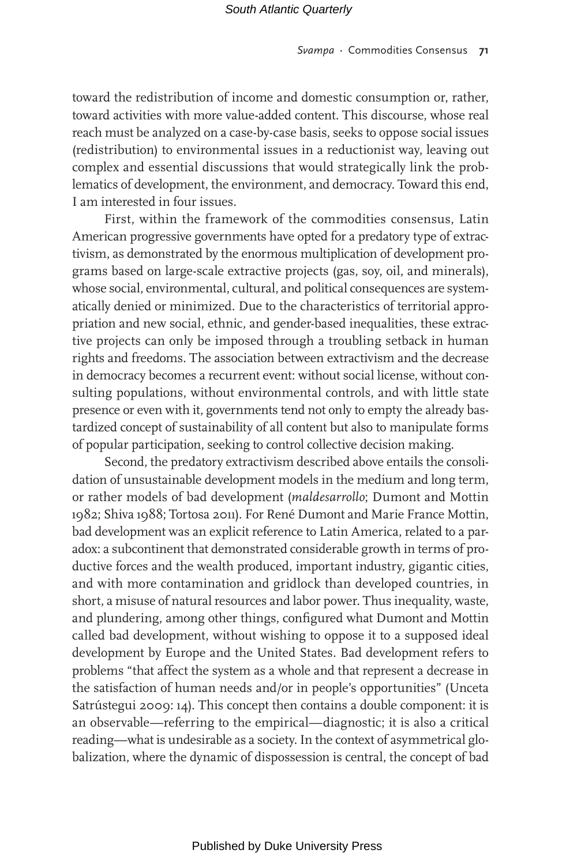toward the redistribution of income and domestic consumption or, rather, toward activities with more value-added content. This discourse, whose real reach must be analyzed on a case-by-case basis, seeks to oppose social issues (redistribution) to environmental issues in a reductionist way, leaving out complex and essential discussions that would strategically link the problematics of development, the environment, and democracy. Toward this end, I am interested in four issues.

First, within the framework of the commodities consensus, Latin American progressive governments have opted for a predatory type of extractivism, as demonstrated by the enormous multiplication of development programs based on large-scale extractive projects (gas, soy, oil, and minerals), whose social, environmental, cultural, and political consequences are systematically denied or minimized. Due to the characteristics of territorial appropriation and new social, ethnic, and gender-based inequalities, these extractive projects can only be imposed through a troubling setback in human rights and freedoms. The association between extractivism and the decrease in democracy becomes a recurrent event: without social license, without consulting populations, without environmental controls, and with little state presence or even with it, governments tend not only to empty the already bastardized concept of sustainability of all content but also to manipulate forms of popular participation, seeking to control collective decision making.

Second, the predatory extractivism described above entails the consolidation of unsustainable development models in the medium and long term, or rather models of bad development (*maldesarrollo*; Dumont and Mottin 1982; Shiva 1988; Tortosa 2011). For René Dumont and Marie France Mottin, bad development was an explicit reference to Latin America, related to a paradox: a subcontinent that demonstrated considerable growth in terms of productive forces and the wealth produced, important industry, gigantic cities, and with more contamination and gridlock than developed countries, in short, a misuse of natural resources and labor power. Thus inequality, waste, and plundering, among other things, configured what Dumont and Mottin called bad development, without wishing to oppose it to a supposed ideal development by Europe and the United States. Bad development refers to problems "that affect the system as a whole and that represent a decrease in the satisfaction of human needs and/or in people's opportunities" (Unceta Satrústegui 2009: 14). This concept then contains a double component: it is an observable—referring to the empirical—diagnostic; it is also a critical reading—what is undesirable as a society. In the context of asymmetrical globalization, where the dynamic of dispossession is central, the concept of bad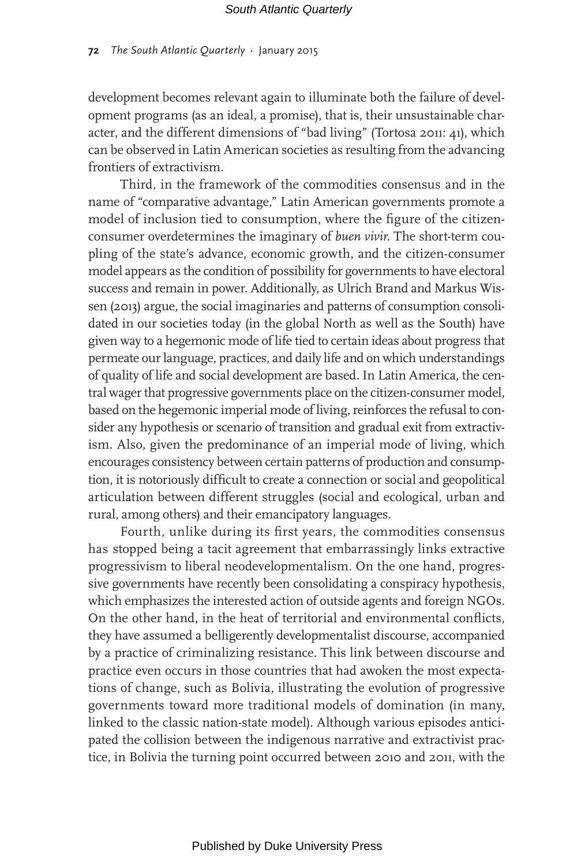development becomes relevant again to illuminate both the failure of development programs (as an ideal, a promise), that is, their unsustainable character, and the different dimensions of "bad living" (Tortosa 2011: 41), which can be observed in Latin American societies as resulting from the advancing frontiers of extractivism.

Third, in the framework of the commodities consensus and in the name of "comparative advantage," Latin American governments promote a model of inclusion tied to consumption, where the figure of the citizenconsumer overdetermines the imaginary of *buen vivir*. The short-term coupling of the state's advance, economic growth, and the citizen-consumer model appears as the condition of possibility for governments to have electoral success and remain in power. Additionally, as Ulrich Brand and Markus Wissen (2013) argue, the social imaginaries and patterns of consumption consolidated in our societies today (in the global North as well as the South) have given way to a hegemonic mode of life tied to certain ideas about progress that permeate our language, practices, and daily life and on which understandings of quality of life and social development are based. In Latin America, the central wager that progressive governments place on the citizen-consumer model, based on the hegemonic imperial mode of living, reinforces the refusal to consider any hypothesis or scenario of transition and gradual exit from extractivism. Also, given the predominance of an imperial mode of living, which encourages consistency between certain patterns of production and consumption, it is notoriously difficult to create a connection or social and geopolitical articulation between different struggles (social and ecological, urban and rural, among others) and their emancipatory languages.

Fourth, unlike during its first years, the commodities consensus has stopped being a tacit agreement that embarrassingly links extractive progressivism to liberal neodevelopmentalism. On the one hand, progressive governments have recently been consolidating a conspiracy hypothesis, which emphasizes the interested action of outside agents and foreign NGOs. On the other hand, in the heat of territorial and environmental conflicts, they have assumed a belligerently developmentalist discourse, accompanied by a practice of criminalizing resistance. This link between discourse and practice even occurs in those countries that had awoken the most expectations of change, such as Bolivia, illustrating the evolution of progressive governments toward more traditional models of domination (in many, linked to the classic nation-state model). Although various episodes anticipated the collision between the indigenous narrative and extractivist practice, in Bolivia the turning point occurred between 2010 and 2011, with the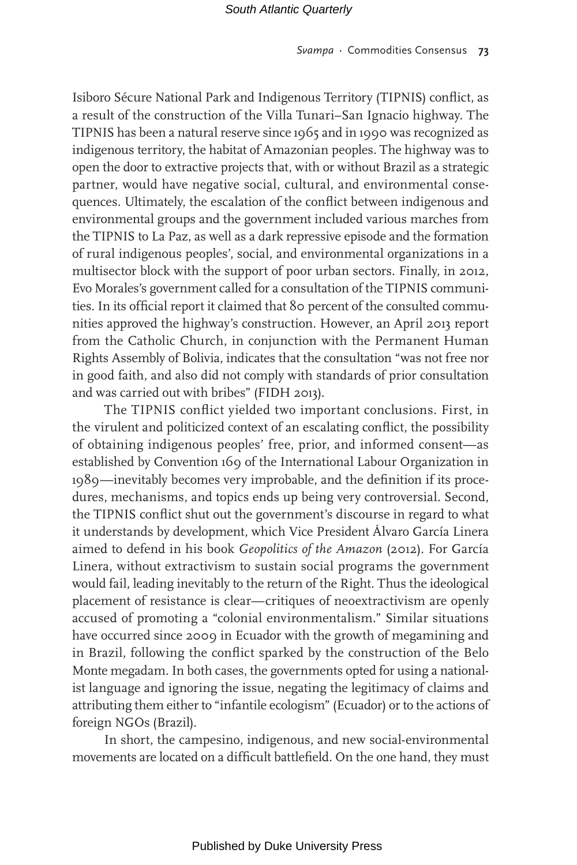Isiboro Sécure National Park and Indigenous Territory (TIPNIS) conflict, as a result of the construction of the Villa Tunari–San Ignacio highway. The TIPNIS has been a natural reserve since 1965 and in 1990 was recognized as indigenous territory, the habitat of Amazonian peoples. The highway was to open the door to extractive projects that, with or without Brazil as a strategic partner, would have negative social, cultural, and environmental consequences. Ultimately, the escalation of the conflict between indigenous and environmental groups and the government included various marches from the TIPNIS to La Paz, as well as a dark repressive episode and the formation of rural indigenous peoples', social, and environmental organizations in a multisector block with the support of poor urban sectors. Finally, in 2012, Evo Morales's government called for a consultation of the TIPNIS communities. In its official report it claimed that 80 percent of the consulted communities approved the highway's construction. However, an April 2013 report from the Catholic Church, in conjunction with the Permanent Human Rights Assembly of Bolivia, indicates that the consultation "was not free nor in good faith, and also did not comply with standards of prior consultation and was carried out with bribes" (FIDH 2013).

The TIPNIS conflict yielded two important conclusions. First, in the virulent and politicized context of an escalating conflict, the possibility of obtaining indigenous peoples' free, prior, and informed consent—as established by Convention 169 of the International Labour Organization in 1989—inevitably becomes very improbable, and the definition if its procedures, mechanisms, and topics ends up being very controversial. Second, the TIPNIS conflict shut out the government's discourse in regard to what it understands by development, which Vice President Álvaro García Linera aimed to defend in his book *Geopolitics of the Amazon* (2012). For García Linera, without extractivism to sustain social programs the government would fail, leading inevitably to the return of the Right. Thus the ideological placement of resistance is clear—critiques of neoextractivism are openly accused of promoting a "colonial environmentalism." Similar situations have occurred since 2009 in Ecuador with the growth of megamining and in Brazil, following the conflict sparked by the construction of the Belo Monte megadam. In both cases, the governments opted for using a nationalist language and ignoring the issue, negating the legitimacy of claims and attributing them either to "infantile ecologism" (Ecuador) or to the actions of foreign NGOs (Brazil).

In short, the campesino, indigenous, and new social-environmental movements are located on a difficult battlefield. On the one hand, they must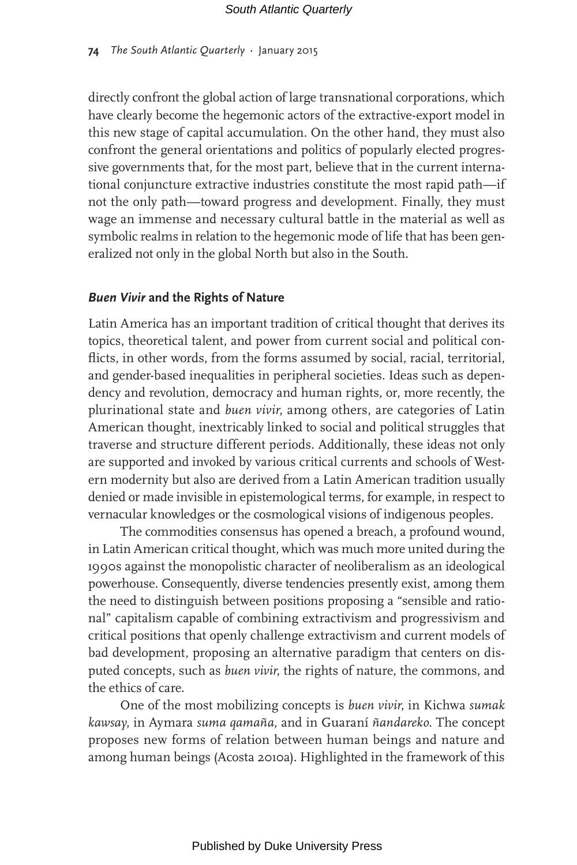directly confront the global action of large transnational corporations, which have clearly become the hegemonic actors of the extractive-export model in this new stage of capital accumulation. On the other hand, they must also confront the general orientations and politics of popularly elected progressive governments that, for the most part, believe that in the current international conjuncture extractive industries constitute the most rapid path—if not the only path—toward progress and development. Finally, they must wage an immense and necessary cultural battle in the material as well as symbolic realms in relation to the hegemonic mode of life that has been generalized not only in the global North but also in the South.

## *Buen Vivir* **and the Rights of Nature**

Latin America has an important tradition of critical thought that derives its topics, theoretical talent, and power from current social and political conflicts, in other words, from the forms assumed by social, racial, territorial, and gender-based inequalities in peripheral societies. Ideas such as dependency and revolution, democracy and human rights, or, more recently, the plurinational state and *buen vivir*, among others, are categories of Latin American thought, inextricably linked to social and political struggles that traverse and structure different periods. Additionally, these ideas not only are supported and invoked by various critical currents and schools of Western modernity but also are derived from a Latin American tradition usually denied or made invisible in epistemological terms, for example, in respect to vernacular knowledges or the cosmological visions of indigenous peoples.

The commodities consensus has opened a breach, a profound wound, in Latin American critical thought, which was much more united during the 1990s against the monopolistic character of neoliberalism as an ideological powerhouse. Consequently, diverse tendencies presently exist, among them the need to distinguish between positions proposing a "sensible and rational" capitalism capable of combining extractivism and progressivism and critical positions that openly challenge extractivism and current models of bad development, proposing an alternative paradigm that centers on disputed concepts, such as *buen vivir*, the rights of nature, the commons, and the ethics of care.

One of the most mobilizing concepts is *buen vivir*, in Kichwa *sumak kawsay*, in Aymara *suma qamaña*, and in Guaraní *ñandareko*. The concept proposes new forms of relation between human beings and nature and among human beings (Acosta 2010a). Highlighted in the framework of this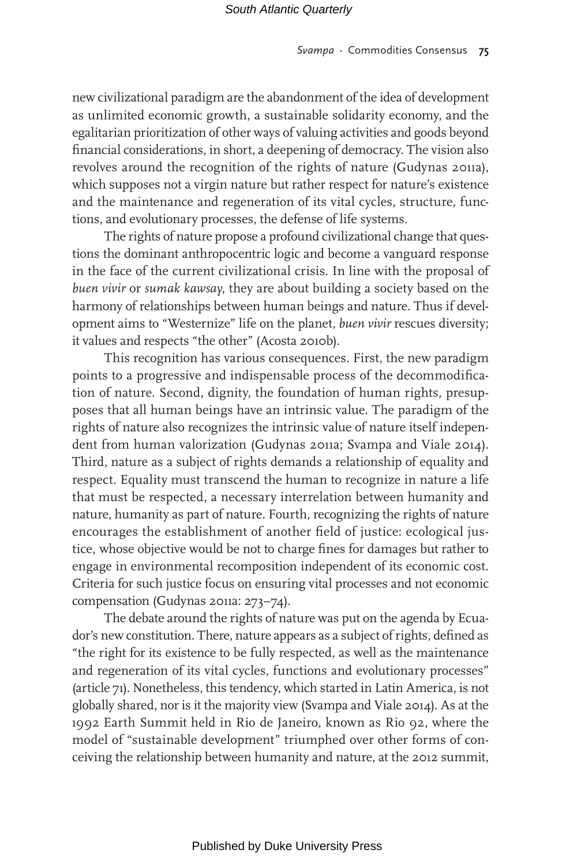new civilizational paradigm are the abandonment of the idea of development as unlimited economic growth, a sustainable solidarity economy, and the egalitarian prioritization of other ways of valuing activities and goods beyond financial considerations, in short, a deepening of democracy. The vision also revolves around the recognition of the rights of nature (Gudynas 2011a), which supposes not a virgin nature but rather respect for nature's existence and the maintenance and regeneration of its vital cycles, structure, functions, and evolutionary processes, the defense of life systems.

The rights of nature propose a profound civilizational change that questions the dominant anthropocentric logic and become a vanguard response in the face of the current civilizational crisis. In line with the proposal of *buen vivir* or *sumak kawsay*, they are about building a society based on the harmony of relationships between human beings and nature. Thus if development aims to "Westernize" life on the planet, *buen vivir* rescues diversity; it values and respects "the other" (Acosta 2010b).

This recognition has various consequences. First, the new paradigm points to a progressive and indispensable process of the decommodification of nature. Second, dignity, the foundation of human rights, presupposes that all human beings have an intrinsic value. The paradigm of the rights of nature also recognizes the intrinsic value of nature itself independent from human valorization (Gudynas 2011a; Svampa and Viale 2014). Third, nature as a subject of rights demands a relationship of equality and respect. Equality must transcend the human to recognize in nature a life that must be respected, a necessary interrelation between humanity and nature, humanity as part of nature. Fourth, recognizing the rights of nature encourages the establishment of another field of justice: ecological justice, whose objective would be not to charge fines for damages but rather to engage in environmental recomposition independent of its economic cost. Criteria for such justice focus on ensuring vital processes and not economic compensation (Gudynas 2011a: 273–74).

The debate around the rights of nature was put on the agenda by Ecuador's new constitution. There, nature appears as a subject of rights, defined as "the right for its existence to be fully respected, as well as the maintenance and regeneration of its vital cycles, functions and evolutionary processes" (article 71). Nonetheless, this tendency, which started in Latin America, is not globally shared, nor is it the majority view (Svampa and Viale 2014). As at the 1992 Earth Summit held in Rio de Janeiro, known as Rio 92, where the model of "sustainable development" triumphed over other forms of conceiving the relationship between humanity and nature, at the 2012 summit,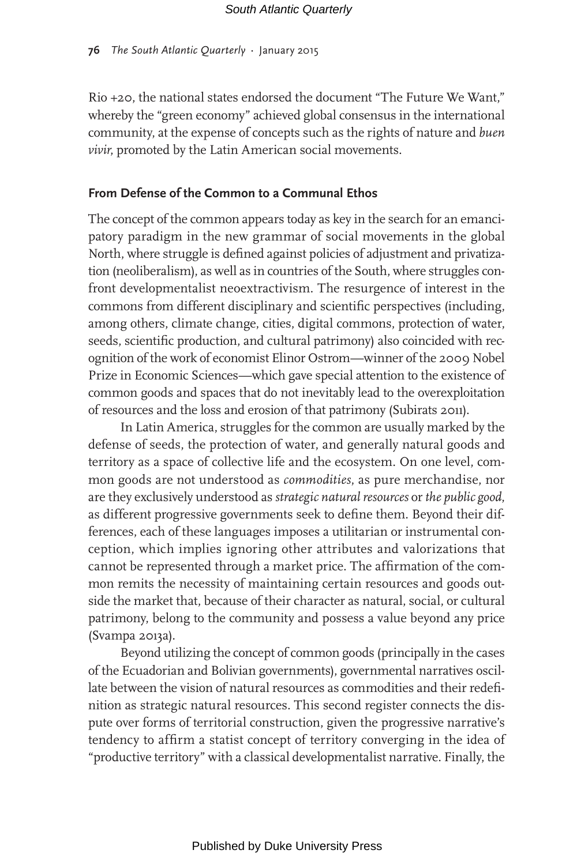Rio +20, the national states endorsed the document "The Future We Want," whereby the "green economy" achieved global consensus in the international community, at the expense of concepts such as the rights of nature and *buen vivir*, promoted by the Latin American social movements.

# **From Defense of the Common to a Communal Ethos**

The concept of the common appears today as key in the search for an emancipatory paradigm in the new grammar of social movements in the global North, where struggle is defined against policies of adjustment and privatization (neoliberalism), as well as in countries of the South, where struggles confront developmentalist neoextractivism. The resurgence of interest in the commons from different disciplinary and scientific perspectives (including, among others, climate change, cities, digital commons, protection of water, seeds, scientific production, and cultural patrimony) also coincided with recognition of the work of economist Elinor Ostrom—winner of the 2009 Nobel Prize in Economic Sciences—which gave special attention to the existence of common goods and spaces that do not inevitably lead to the overexploitation of resources and the loss and erosion of that patrimony (Subirats 2011).

In Latin America, struggles for the common are usually marked by the defense of seeds, the protection of water, and generally natural goods and territory as a space of collective life and the ecosystem. On one level, common goods are not understood as *commodities*, as pure merchandise, nor are they exclusively understood as *strategic natural resources* or *the public good*, as different progressive governments seek to define them. Beyond their differences, each of these languages imposes a utilitarian or instrumental conception, which implies ignoring other attributes and valorizations that cannot be represented through a market price. The affirmation of the common remits the necessity of maintaining certain resources and goods outside the market that, because of their character as natural, social, or cultural patrimony, belong to the community and possess a value beyond any price (Svampa 2013a).

Beyond utilizing the concept of common goods (principally in the cases of the Ecuadorian and Bolivian governments), governmental narratives oscillate between the vision of natural resources as commodities and their redefinition as strategic natural resources. This second register connects the dispute over forms of territorial construction, given the progressive narrative's tendency to affirm a statist concept of territory converging in the idea of "productive territory" with a classical developmentalist narrative. Finally, the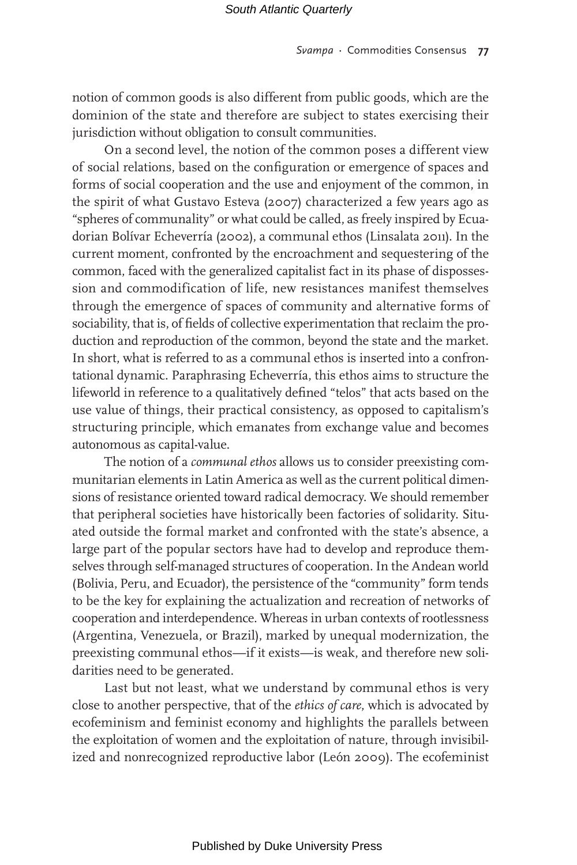notion of common goods is also different from public goods, which are the dominion of the state and therefore are subject to states exercising their jurisdiction without obligation to consult communities.

On a second level, the notion of the common poses a different view of social relations, based on the configuration or emergence of spaces and forms of social cooperation and the use and enjoyment of the common, in the spirit of what Gustavo Esteva (2007) characterized a few years ago as "spheres of communality" or what could be called, as freely inspired by Ecuadorian Bolívar Echeverría (2002), a communal ethos (Linsalata 2011). In the current moment, confronted by the encroachment and sequestering of the common, faced with the generalized capitalist fact in its phase of dispossession and commodification of life, new resistances manifest themselves through the emergence of spaces of community and alternative forms of sociability, that is, of fields of collective experimentation that reclaim the production and reproduction of the common, beyond the state and the market. In short, what is referred to as a communal ethos is inserted into a confrontational dynamic. Paraphrasing Echeverría, this ethos aims to structure the lifeworld in reference to a qualitatively defined "telos" that acts based on the use value of things, their practical consistency, as opposed to capitalism's structuring principle, which emanates from exchange value and becomes autonomous as capital-value.

The notion of a *communal ethos* allows us to consider preexisting communitarian elements in Latin America as well as the current political dimensions of resistance oriented toward radical democracy. We should remember that peripheral societies have historically been factories of solidarity. Situated outside the formal market and confronted with the state's absence, a large part of the popular sectors have had to develop and reproduce themselves through self-managed structures of cooperation. In the Andean world (Bolivia, Peru, and Ecuador), the persistence of the "community" form tends to be the key for explaining the actualization and recreation of networks of cooperation and interdependence. Whereas in urban contexts of rootlessness (Argentina, Venezuela, or Brazil), marked by unequal modernization, the preexisting communal ethos—if it exists—is weak, and therefore new solidarities need to be generated.

Last but not least, what we understand by communal ethos is very close to another perspective, that of the *ethics of care*, which is advocated by ecofeminism and feminist economy and highlights the parallels between the exploitation of women and the exploitation of nature, through invisibilized and nonrecognized reproductive labor (León 2009). The ecofeminist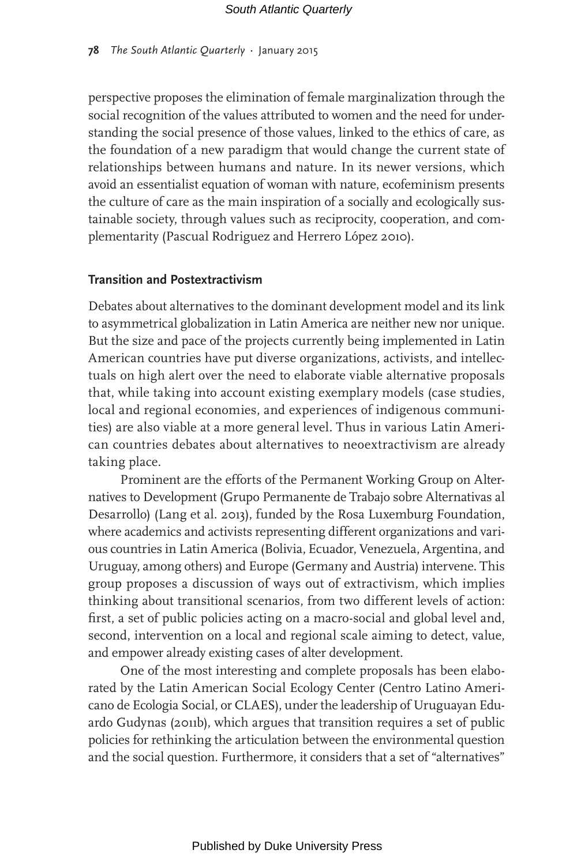perspective proposes the elimination of female marginalization through the social recognition of the values attributed to women and the need for understanding the social presence of those values, linked to the ethics of care, as the foundation of a new paradigm that would change the current state of relationships between humans and nature. In its newer versions, which avoid an essentialist equation of woman with nature, ecofeminism presents the culture of care as the main inspiration of a socially and ecologically sustainable society, through values such as reciprocity, cooperation, and complementarity (Pascual Rodriguez and Herrero López 2010).

## **Transition and Postextractivism**

Debates about alternatives to the dominant development model and its link to asymmetrical globalization in Latin America are neither new nor unique. But the size and pace of the projects currently being implemented in Latin American countries have put diverse organizations, activists, and intellectuals on high alert over the need to elaborate viable alternative proposals that, while taking into account existing exemplary models (case studies, local and regional economies, and experiences of indigenous communities) are also viable at a more general level. Thus in various Latin American countries debates about alternatives to neoextractivism are already taking place.

Prominent are the efforts of the Permanent Working Group on Alternatives to Development (Grupo Permanente de Trabajo sobre Alternativas al Desarrollo) (Lang et al. 2013), funded by the Rosa Luxemburg Foundation, where academics and activists representing different organizations and various countries in Latin America (Bolivia, Ecuador, Venezuela, Argentina, and Uruguay, among others) and Europe (Germany and Austria) intervene. This group proposes a discussion of ways out of extractivism, which implies thinking about transitional scenarios, from two different levels of action: first, a set of public policies acting on a macro-social and global level and, second, intervention on a local and regional scale aiming to detect, value, and empower already existing cases of alter development.

One of the most interesting and complete proposals has been elaborated by the Latin American Social Ecology Center (Centro Latino Americano de Ecologia Social, or CLAES), under the leadership of Uruguayan Eduardo Gudynas (2011b), which argues that transition requires a set of public policies for rethinking the articulation between the environmental question and the social question. Furthermore, it considers that a set of "alternatives"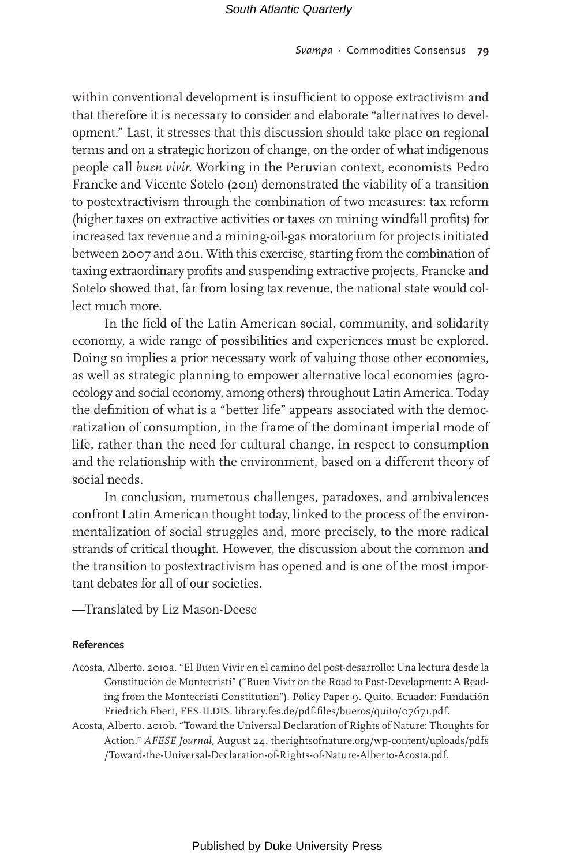within conventional development is insufficient to oppose extractivism and that therefore it is necessary to consider and elaborate "alternatives to development." Last, it stresses that this discussion should take place on regional terms and on a strategic horizon of change, on the order of what indigenous people call *buen vivir*. Working in the Peruvian context, economists Pedro Francke and Vicente Sotelo (2011) demonstrated the viability of a transition to postextractivism through the combination of two measures: tax reform (higher taxes on extractive activities or taxes on mining windfall profits) for increased tax revenue and a mining-oil-gas moratorium for projects initiated between 2007 and 2011. With this exercise, starting from the combination of taxing extraordinary profits and suspending extractive projects, Francke and Sotelo showed that, far from losing tax revenue, the national state would collect much more.

In the field of the Latin American social, community, and solidarity economy, a wide range of possibilities and experiences must be explored. Doing so implies a prior necessary work of valuing those other economies, as well as strategic planning to empower alternative local economies (agroecology and social economy, among others) throughout Latin America. Today the definition of what is a "better life" appears associated with the democratization of consumption, in the frame of the dominant imperial mode of life, rather than the need for cultural change, in respect to consumption and the relationship with the environment, based on a different theory of social needs.

In conclusion, numerous challenges, paradoxes, and ambivalences confront Latin American thought today, linked to the process of the environmentalization of social struggles and, more precisely, to the more radical strands of critical thought. However, the discussion about the common and the transition to postextractivism has opened and is one of the most important debates for all of our societies.

—Translated by Liz Mason-Deese

#### **References**

- Acosta, Alberto. 2010a. "El Buen Vivir en el camino del post-desarrollo: Una lectura desde la Constitución de Montecristi" ("Buen Vivir on the Road to Post-Development: A Reading from the Montecristi Constitution"). Policy Paper 9. Quito, Ecuador: Fundación Friedrich Ebert, FES-ILDIS. library.fes.de/pdf-files/bueros/quito/07671.pdf.
- Acosta, Alberto. 2010b. "Toward the Universal Declaration of Rights of Nature: Thoughts for Action." *AFESE Journal*, August 24. therightsofnature.org/wp-content/uploads/pdfs /Toward-the-Universal-Declaration-of-Rights-of-Nature-Alberto-Acosta.pdf.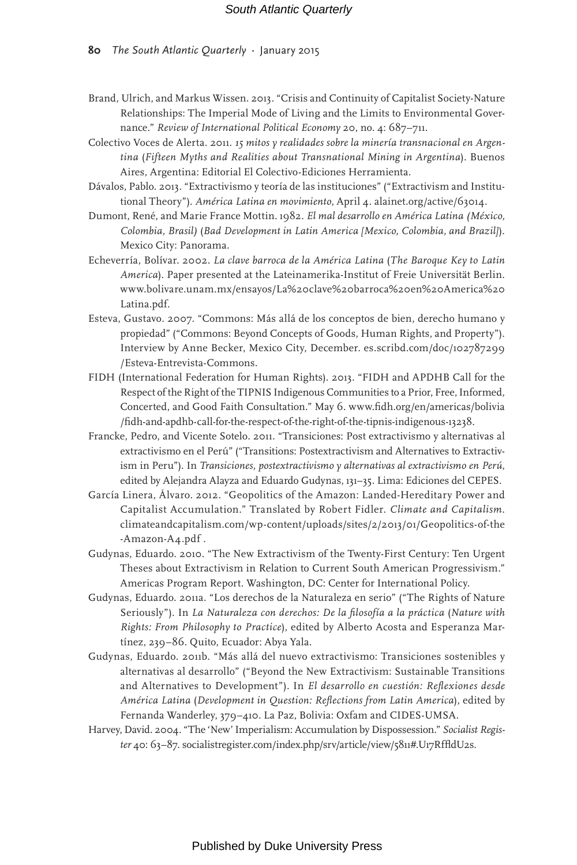- Brand, Ulrich, and Markus Wissen. 2013. "Crisis and Continuity of Capitalist Society-Nature Relationships: The Imperial Mode of Living and the Limits to Environmental Governance." *Review of International Political Economy* 20, no. 4: 687–711.
- Colectivo Voces de Alerta. 2011. *15 mitos y realidades sobre la minería transnacional en Argentina* (*Fifteen Myths and Realities about Transnational Mining in Argentina*). Buenos Aires, Argentina: Editorial El Colectivo-Ediciones Herramienta.
- Dávalos, Pablo. 2013. "Extractivismo y teoría de las instituciones" ("Extractivism and Institutional Theory"). *América Latina en movimiento*, April 4. alainet.org/active/63014.
- Dumont, René, and Marie France Mottin. 1982. *El mal desarrollo en América Latina (México, Colombia, Brasil)* (*Bad Development in Latin America [Mexico, Colombia, and Brazil]*). Mexico City: Panorama.
- Echeverría, Bolívar. 2002. *La clave barroca de la América Latina* (*The Baroque Key to Latin America*). Paper presented at the Lateinamerika-Institut of Freie Universität Berlin. www.bolivare.unam.mx/ensayos/La%20clave%20barroca%20en%20America%20 Latina.pdf.
- Esteva, Gustavo. 2007. "Commons: Más allá de los conceptos de bien, derecho humano y propiedad" ("Commons: Beyond Concepts of Goods, Human Rights, and Property"). Interview by Anne Becker, Mexico City, December. es.scribd.com/doc/102787299 /Esteva-Entrevista-Commons.
- FIDH (International Federation for Human Rights). 2013. "FIDH and APDHB Call for the Respect of the Right of the TIPNIS Indigenous Communities to a Prior, Free, Informed, Concerted, and Good Faith Consultation." May 6. www.fidh.org/en/americas/bolivia /fidh-and-apdhb-call-for-the-respect-of-the-right-of-the-tipnis-indigenous-13238.
- Francke, Pedro, and Vicente Sotelo. 2011. "Transiciones: Post extractivismo y alternativas al extractivismo en el Perú" ("Transitions: Postextractivism and Alternatives to Extractivism in Peru"). In *Transiciones, postextractivismo y alternativas al extractivismo en Perú*, edited by Alejandra Alayza and Eduardo Gudynas, 131–35. Lima: Ediciones del CEPES.
- García Linera, Álvaro. 2012. "Geopolitics of the Amazon: Landed-Hereditary Power and Capitalist Accumulation." Translated by Robert Fidler. *Climate and Capitalism*. climateandcapitalism.com/wp-content/uploads/sites/2/2013/01/Geopolitics-of-the -Amazon-A4.pdf .
- Gudynas, Eduardo. 2010. "The New Extractivism of the Twenty-First Century: Ten Urgent Theses about Extractivism in Relation to Current South American Progressivism." Americas Program Report. Washington, DC: Center for International Policy.
- Gudynas, Eduardo. 2011a. "Los derechos de la Naturaleza en serio" ("The Rights of Nature Seriously"). In *La Naturaleza con derechos: De la filosofía a la práctica (Nature with Rights: From Philosophy to Practice*), edited by Alberto Acosta and Esperanza Martínez, 239–86. Quito, Ecuador: Abya Yala.
- Gudynas, Eduardo. 2011b. "Más allá del nuevo extractivismo: Transiciones sostenibles y alternativas al desarrollo" ("Beyond the New Extractivism: Sustainable Transitions and Alternatives to Development"). In *El desarrollo en cuestión: Reflexiones desde América Latina* (*Development in Question: Reflections from Latin America*), edited by Fernanda Wanderley, 379–410. La Paz, Bolivia: Oxfam and CIDES-UMSA.
- Harvey, David. 2004. "The 'New' Imperialism: Accumulation by Dispossession." *Socialist Register* 40: 63–87. socialistregister.com/index.php/srv/article/view/5811#.U17RffldU2s.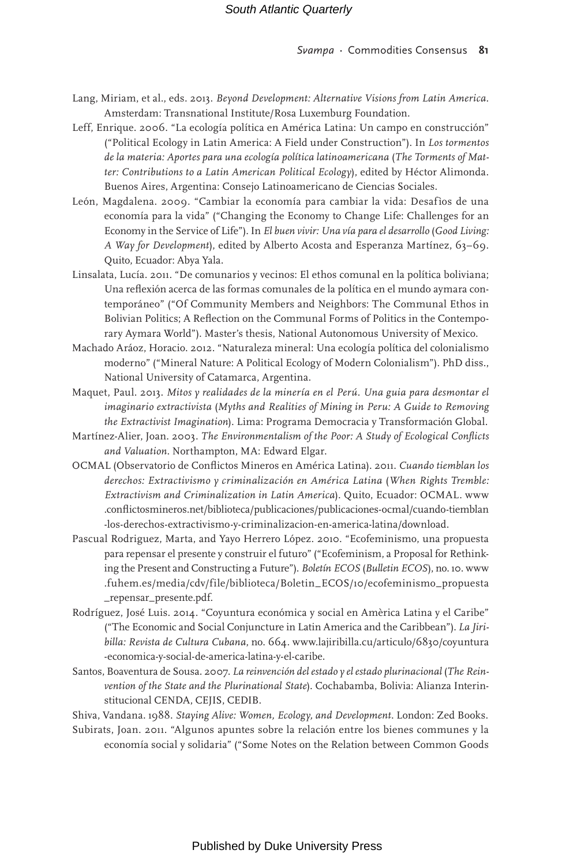- Lang, Miriam, et al., eds. 2013. *Beyond Development: Alternative Visions from Latin America*. Amsterdam: Transnational Institute/Rosa Luxemburg Foundation.
- Leff, Enrique. 2006. "La ecología política en América Latina: Un campo en construcción" ("Political Ecology in Latin America: A Field under Construction"). In *Los tormentos de la materia: Aportes para una ecología política latinoamericana* (*The Torments of Matter: Contributions to a Latin American Political Ecology*), edited by Héctor Alimonda. Buenos Aires, Argentina: Consejo Latinoamericano de Ciencias Sociales.
- León, Magdalena. 2009. "Cambiar la economía para cambiar la vida: Desafìos de una economía para la vida" ("Changing the Economy to Change Life: Challenges for an Economy in the Service of Life"). In *El buen vivir: Una vía para el desarrollo* (*Good Living: A Way for Development*), edited by Alberto Acosta and Esperanza Martínez, 63–69. Quito, Ecuador: Abya Yala.
- Linsalata, Lucía. 2011. "De comunarios y vecinos: El ethos comunal en la política boliviana; Una reflexión acerca de las formas comunales de la política en el mundo aymara contemporáneo" ("Of Community Members and Neighbors: The Communal Ethos in Bolivian Politics; A Reflection on the Communal Forms of Politics in the Contemporary Aymara World"). Master's thesis, National Autonomous University of Mexico.
- Machado Aráoz, Horacio. 2012. "Naturaleza mineral: Una ecología política del colonialismo moderno" ("Mineral Nature: A Political Ecology of Modern Colonialism"). PhD diss., National University of Catamarca, Argentina.
- Maquet, Paul. 2013. *Mitos y realidades de la minería en el Perú. Una guia para desmontar el imaginario extractivista* (*Myths and Realities of Mining in Peru: A Guide to Removing the Extractivist Imagination*). Lima: Programa Democracia y Transformación Global.
- Martínez-Alier, Joan. 2003. *The Environmentalism of the Poor: A Study of Ecological Conflicts and Valuation*. Northampton, MA: Edward Elgar.
- OCMAL (Observatorio de Conflictos Mineros en América Latina). 2011. *Cuando tiemblan los derechos: Extractivismo y criminalización en América Latina* (*When Rights Tremble: Extractivism and Criminalization in Latin America*). Quito, Ecuador: OCMAL. www .conflictosmineros.net/biblioteca/publicaciones/publicaciones-ocmal/cuando-tiemblan -los-derechos-extractivismo-y-criminalizacion-en-america-latina/download.
- Pascual Rodriguez, Marta, and Yayo Herrero López. 2010. "Ecofeminismo, una propuesta para repensar el presente y construir el futuro" ("Ecofeminism, a Proposal for Rethinking the Present and Constructing a Future"). *Boletín ECOS* (*Bulletin ECOS*), no. 10. www .fuhem.es/media/cdv/file/biblioteca/Boletin\_ECOS/10/ecofeminismo\_propuesta \_repensar\_presente.pdf.
- Rodríguez, José Luis. 2014. "Coyuntura económica y social en Amèrica Latina y el Caribe" ("The Economic and Social Conjuncture in Latin America and the Caribbean"). *La Jiribilla: Revista de Cultura Cubana*, no. 664. www.lajiribilla.cu/articulo/6830/coyuntura -economica-y-social-de-america-latina-y-el-caribe.
- Santos, Boaventura de Sousa. 2007. *La reinvención del estado y el estado plurinacional* (*The Reinvention of the State and the Plurinational State*). Cochabamba, Bolivia: Alianza Interinstitucional CENDA, CEJIS, CEDIB.

Shiva, Vandana. 1988. *Staying Alive: Women, Ecology, and Development*. London: Zed Books.

Subirats, Joan. 2011. "Algunos apuntes sobre la relación entre los bienes communes y la economía social y solidaria" ("Some Notes on the Relation between Common Goods